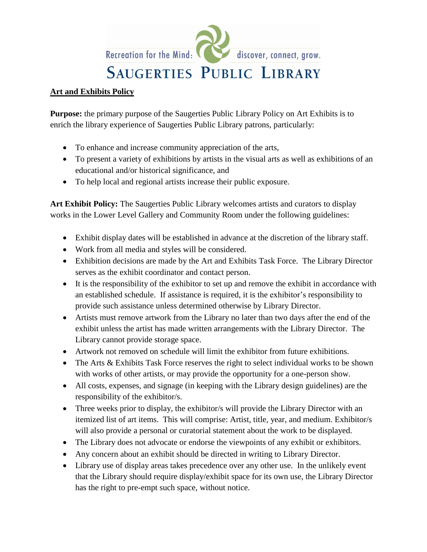Recreation for the Mind: discover, connect, grow.

## **SAUGERTIES PUBLIC LIBRARY**

## **Art and Exhibits Policy**

**Purpose:** the primary purpose of the Saugerties Public Library Policy on Art Exhibits is to enrich the library experience of Saugerties Public Library patrons, particularly:

- To enhance and increase community appreciation of the arts,
- To present a variety of exhibitions by artists in the visual arts as well as exhibitions of an educational and/or historical significance, and
- To help local and regional artists increase their public exposure.

**Art Exhibit Policy:** The Saugerties Public Library welcomes artists and curators to display works in the Lower Level Gallery and Community Room under the following guidelines:

- Exhibit display dates will be established in advance at the discretion of the library staff.
- Work from all media and styles will be considered.
- Exhibition decisions are made by the Art and Exhibits Task Force. The Library Director serves as the exhibit coordinator and contact person.
- It is the responsibility of the exhibitor to set up and remove the exhibit in accordance with an established schedule. If assistance is required, it is the exhibitor's responsibility to provide such assistance unless determined otherwise by Library Director.
- Artists must remove artwork from the Library no later than two days after the end of the exhibit unless the artist has made written arrangements with the Library Director. The Library cannot provide storage space.
- Artwork not removed on schedule will limit the exhibitor from future exhibitions.
- The Arts & Exhibits Task Force reserves the right to select individual works to be shown with works of other artists, or may provide the opportunity for a one-person show.
- All costs, expenses, and signage (in keeping with the Library design guidelines) are the responsibility of the exhibitor/s.
- Three weeks prior to display, the exhibitor/s will provide the Library Director with an itemized list of art items. This will comprise: Artist, title, year, and medium. Exhibitor/s will also provide a personal or curatorial statement about the work to be displayed.
- The Library does not advocate or endorse the viewpoints of any exhibit or exhibitors.
- Any concern about an exhibit should be directed in writing to Library Director.
- Library use of display areas takes precedence over any other use. In the unlikely event that the Library should require display/exhibit space for its own use, the Library Director has the right to pre-empt such space, without notice.